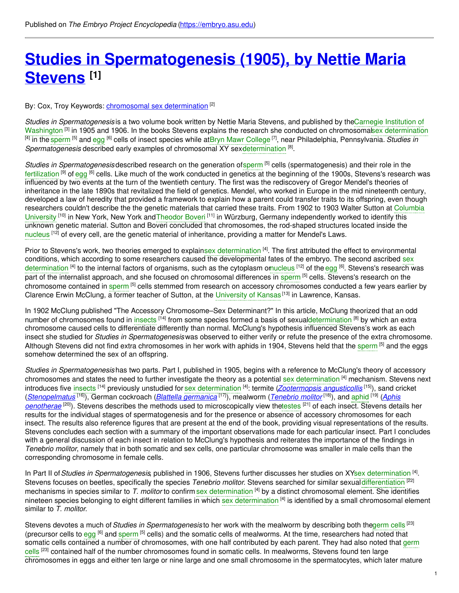# **Studies in [Spermatogenesis](https://embryo.asu.edu/pages/studies-spermatogenesis-1905-nettie-maria-stevens) (1905), by Nettie Maria Stevens [1]**

### By: Cox, Troy Keywords: <u>[chromosomal](https://embryo.asu.edu/keywords/chromosomal-sex-determination) sex determination</u> <sup>[2]</sup>

*Studies in [Spermatogenesis](https://embryo.asu.edu/search?text=Carnegie%20Institution%20of%20Washington)* is a two volume book written by Nettie Maria Stevens, and published by theCarnegie Institution of Washington <sup>[3]</sup> in 1905 and 1906. In the books Stevens explains the research she conducted on chromosomalsex [determination](https://embryo.asu.edu/search?text=sex%20determination) <sup>[4]</sup> in the [sperm](https://embryo.asu.edu/search?text=sperm) <sup>[5]</sup> and [egg](https://embryo.asu.edu/search?text=egg) <sup>[6]</sup> cells of insect species while atBryn Mawr [College](https://embryo.asu.edu/search?text=Bryn%20Mawr%20College) <sup>[7]</sup>, near Philadelphia, Pennsylvania. *Studies in* Spermatogenesis described early examples of chromosomal XY sexdetermination <sup>[8]</sup>.

*Studies in Spermatogenesis* described research on the generation of[sperm](https://embryo.asu.edu/search?text=sperm) [5] cells (spermatogenesis) and their role in the [fertilization](https://embryo.asu.edu/search?text=fertilization) <sup>[9]</sup> of [egg](https://embryo.asu.edu/search?text=egg) <sup>[6]</sup> cells. Like much of the work conducted in genetics at the beginning of the 1900s, Stevens's research was influenced by two events at the turn of the twentieth century. The first was the rediscovery of Gregor Mendel's theories of inheritance in the late 1890s that revitalized the field of genetics. Mendel, who worked in Europe in the mid nineteenth century, developed a law of heredity that provided a framework to explain how a parent could transfer traits to its offspring, even though researchers couldn't describe the the genetic materials that carried these traits. From 1902 to 1903 Walter Sutton at Columbia University <sup>[10]</sup> in New York, New York and [Theodor](https://embryo.asu.edu/search?text=Theodor%20Boveri) Boveri<sup>[11]</sup> in Würzburg, Germany [independently](https://embryo.asu.edu/search?text=Columbia%20University) worked to identify this unknown genetic material. Sutton and Boveri concluded that chromosomes, the rod-shaped structures located inside the [nucleus](https://embryo.asu.edu/search?text=nucleus) <sup>[12]</sup> of every cell, are the genetic material of inheritance, providing a matter for Mendel's Laws.

Prior to Stevens's work, two theories emerged to explainsex [determination](https://embryo.asu.edu/search?text=sex%20determination) <sup>[4]</sup>. The first attributed the effect to environmental conditions, which according to some researchers caused the [developmental](https://embryo.asu.edu/search?text=sex%20determination) fates of the embryo. The second ascribed sex determination <sup>[4]</sup> to the internal factors of organisms, such as the cytoplasm omucleus <sup>[12]</sup> of the [egg](https://embryo.asu.edu/search?text=egg) <sup>[6]</sup>. Stevens's research was part of the internalist approach, and she focused on chromosomal differences in [sperm](https://embryo.asu.edu/search?text=sperm) [5] cells. Stevens's research on the chromosome contained in [sperm](https://embryo.asu.edu/search?text=sperm)<sup>[5]</sup> cells stemmed from research on accessory chromosomes conducted a few years earlier by Clarence Erwin McClung, a former teacher of Sutton, at the [University](https://embryo.asu.edu/search?text=University%20of%20Kansas) of Kansas<sup>[13]</sup> in Lawrence, Kansas.

In 1902 McClung published "The Accessory Chromosome–Sex Determinant?" In this article, McClung theorized that an odd number of chromosomes found in [insects](https://embryo.asu.edu/search?text=insects) <sup>[14]</sup> from some species formed a basis of sexua[ldetermination](https://embryo.asu.edu/search?text=determination) <sup>[8]</sup> by which an extra chromosome caused cells to differentiate differently than normal. McClung's hypothesis influenced Stevens's work as each insect she studied for *Studies in Spermatogenesis* was observed to either verify or refute the presence of the extra chromosome. Although Stevens did not find extra chromosomes in her work with aphids in 1904, Stevens held that the [sperm](https://embryo.asu.edu/search?text=sperm) <sup>[5]</sup> and the eggs somehow determined the sex of an offspring.

*Studies in Spermatogenesis* has two parts. Part I, published in 1905, begins with a reference to McClung's theory of accessory chromosomes and states the need to further investigate the theory as a potential sex [determination](https://embryo.asu.edu/search?text=sex%20determination) <sup>[4]</sup> mechanism. Stevens next introduces five [insects](https://embryo.asu.edu/search?text=insects) [14] previously unstudied for sex [determination](https://embryo.asu.edu/search?text=sex%20determination) [4] : termite (*[Zootermopsis](http://eol.org/pages/472122/overview) angusticollis* [15]), sand cricket (*[Stenopelmatus](http://eol.org/pages/592653/overview)* [16]), German cockroach (*Blattella [germanica](http://eol.org/pages/1074540/overview)* [17]), mealworm (*[Tenebrio](http://eol.org/pages/1041700/overview) molitor* [18]), and [aphid](https://embryo.asu.edu/search?text=aphid) [19] (*Aphis oenotherae* [20]). Stevens describes the methods used to microscopically view th[etestes](https://embryo.asu.edu/search?text=testes) [21] of each insect. Stevens details her results for the individual stages of spermatogenesis and for the presence or absence of accessory chromosomes for each insect. The results also reference figures that are present at the end of the book, providing visual representations of the results. Stevens concludes each section with a summary of the important observations made for each particular insect. Part I concludes with a general discussion of each insect in relation to McClung's hypothesis and reiterates the importance of the findings in *Tenebrio molitor*, namely that in both somatic and sex cells, one particular chromosome was smaller in male cells than the corresponding chromosome in female cells.

In Part II of Studies in Spermatogenesis, published in 1906, Stevens further discusses her studies on XYsex [determination](https://embryo.asu.edu/search?text=sex%20determination)<sup>[4]</sup>. Stevens focuses on beetles, specifically the species Tenebrio molitor. Stevens searched for similar sexual [differentiation](https://embryo.asu.edu/search?text=differentiation) [22] mechanisms in species similar to *T. molitor* to confirm sex [determination](https://embryo.asu.edu/search?text=sex%20determination) [4] by a distinct chromosomal element. She identifies nineteen species belonging to eight different families in which sex [determination](https://embryo.asu.edu/search?text=sex%20determination) [4] is identified by a small chromosomal element similar to *T. molitor*.

Stevens devotes a much of*Studies in Spermatogenesis* to her work with the mealworm by describing both th[egerm](https://embryo.asu.edu/search?text=germ%20cells) cells [23] (precursor cells to [egg](https://embryo.asu.edu/search?text=egg) <sup>[6]</sup> and [sperm](https://embryo.asu.edu/search?text=sperm) <sup>[5]</sup> cells) and the somatic cells of mealworms. At the time, researchers had noted that somatic cells contained a number of [chromosomes,](https://embryo.asu.edu/search?text=germ%20cells) with one half contributed by each parent. They had also noted that germ cells <sup>[23]</sup> contained half of the number chromosomes found in somatic cells. In mealworms, Stevens found ten large chromosomes in eggs and either ten large or nine large and one small chromosome in the spermatocytes, which later mature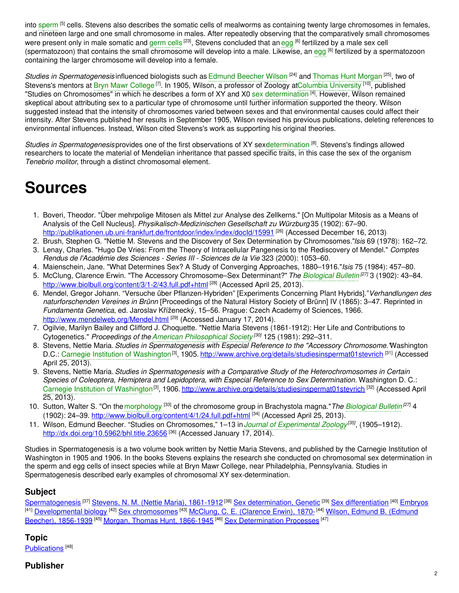into [sperm](https://embryo.asu.edu/search?text=sperm) [5] cells. Stevens also describes the somatic cells of mealworms as containing twenty large chromosomes in females, and nineteen large and one small chromosome in males. After repeatedly observing that the comparatively small chromosomes were present only in male somatic and [germ](https://embryo.asu.edu/search?text=germ%20cells) cells <sup>[23]</sup>, Stevens concluded that an [egg](https://embryo.asu.edu/search?text=egg) <sup>[6]</sup> fertilized by a male sex cell (spermatozoon) that contains the small chromosome will develop into a male. Likewise, an [egg](https://embryo.asu.edu/search?text=egg) <sup>[6]</sup> fertilized by a spermatozoon containing the larger chromosome will develop into a female.

Studies in Spermatogenesis influenced biologists such as Edmund [Beecher](https://embryo.asu.edu/search?text=Edmund%20Beecher%20Wilson) Wilson <sup>[24]</sup> and [Thomas](https://embryo.asu.edu/search?text=Thomas%20Hunt%20Morgan) Hunt Morgan <sup>[25]</sup>, two of Stevens's mentors at Bryn Mawr [College](https://embryo.asu.edu/search?text=Bryn%20Mawr%20College)<sup>[7]</sup>. In 1905, Wilson, a professor of Zoology atColumbia [University](https://embryo.asu.edu/search?text=Columbia%20University) <sup>[10]</sup>, published "Studies on Chromosomes" in which he describes a form of XY and X0 sex [determination](https://embryo.asu.edu/search?text=sex%20determination) <sup>[4]</sup>. However, Wilson remained skeptical about attributing sex to a particular type of chromosome until further information supported the theory. Wilson suggested instead that the intensity of chromosomes varied between sexes and that environmental causes could affect their intensity. After Stevens published her results in September 1905, Wilson revised his previous publications, deleting references to environmental influences. Instead, Wilson cited Stevens's work as supporting his original theories.

*Studies in Spermatogenesis* provides one of the first observations of XY sexdetermination<sup>[8]</sup>. Stevens's findings allowed researchers to locate the material of Mendelian inheritance that passed specific traits, in this case the sex of the organism *Tenebrio molitor*, through a distinct chromosomal element.

# **Sources**

- 1. Boveri, Theodor. "Über mehrpolige Mitosen als Mittel zur Analyse des Zellkerns." [On Multipolar Mitosis as a Means of Analysis of the Cell Nucleus]. *Physikalisch-Medizinischen Gesellschaft zu Würzburg* 35 (1902): 67–90.
- <http://publikationen.ub.uni-frankfurt.de/frontdoor/index/index/docId/15991> [26] (Accessed December 16, 2013)
- 2. Brush, Stephen G. "Nettie M. Stevens and the Discovery of Sex Determination by Chromosomes."*Isis* 69 (1978): 162–72. 3. Lenay, Charles. "Hugo De Vries: From the Theory of Intracellular Pangenesis to the Rediscovery of Mendel." *Comptes Rendus de l'Académie des Sciences - Series III - Sciences de la Vie* 323 (2000): 1053–60.
- 4. Maienschein, Jane. "What Determines Sex? A Study of Converging Approaches, 1880–1916."*Isis* 75 (1984): 457–80.
- 5. McClung, Clarence Erwin. "The Accessory Chromosome–Sex Determinant?" *The [Biological](https://embryo.asu.edu/search?text=Biological%20Bulletin) Bulletin [27]* 3 (1902): 43–84. <http://www.biolbull.org/content/3/1-2/43.full.pdf+html> [28] (Accessed April 25, 2013).
- 6. Mendel, Gregor Johann. "Versuche über Pflanzen-Hybriden" [Experiments Concerning Plant Hybrids]."*Verhandlungen des naturforschenden Vereines in Brünn* [Proceedings of the Natural History Society of Brünn] IV (1865): 3–47. Reprinted in *Fundamenta Genetica*, ed. Jaroslav Kříženecký, 15–56. Prague: Czech Academy of Sciences, 1966. <http://www.mendelweb.org/Mendel.html> <sup>[29]</sup> (Accessed January 17, 2014).
- 7. Ogilvie, Marilyn Bailey and Clifford J. Choquette. "Nettie Maria Stevens (1861-1912): Her Life and Contributions to Cytogenetics." *Proceedings of the American [Philosophical](https://embryo.asu.edu/search?text=American%20Philosophical%20Society) Society [30]* 125 (1981): 292–311.
- 8. Stevens, Nettie Maria. *Studies in Spermatogenesis with Especial Reference to the "Accessory Chromosome."*Washington D.C.: Carnegie Institution of [Washington](https://embryo.asu.edu/search?text=Carnegie%20Institution%20of%20Washington)<sup>[3]</sup>, 1905. <http://www.archive.org/details/studiesinspermat01stevrich> <sup>[31]</sup> (Accessed April 25, 2013).
- 9. Stevens, Nettie Maria. *Studies in Spermatogenesis with a Comparative Study of the Heterochromosomes in Certain Species of Coleoptera, Hemiptera and Lepidoptera, with Especial Reference to Sex Determination.* Washington D. C.: Carnegie Institution of [Washington](https://embryo.asu.edu/search?text=Carnegie%20Institution%20of%20Washington)<sup>[3]</sup>, 1906. [http://www.archive.org/details/studiesinspermat01stevrich](http://www.archive.org/details/studiesinsperma00stevgoog) <sup>[32]</sup> (Accessed April 25, 2013).
- 10. Sutton, Walter S. "On the [morphology](https://embryo.asu.edu/search?text=morphology) <sup>[33]</sup> of the chromosome group in Brachystola magna."*The [Biological](https://embryo.asu.edu/search?text=Biological%20Bulletin) Bulletin<sup>[27]</sup>* 4 (1902): 24–39. <u><http://www.biolbull.org/content/4/1/24.full.pdf+html></u> <sup>[34]</sup> (Accessed April 25, 2013).
- 11. Wilson, Edmund Beecher. "Studies on Chromosomes," 1–13 in*Journal of [Experimental](https://embryo.asu.edu/search?text=Journal%20of%20Experimental%20Zoology) Zoology [35]* , (1905–1912). <http://dx.doi.org/10.5962/bhl.title.23656><sup>[36]</sup> (Accessed January 17, 2014).

Studies in Spermatogenesis is a two volume book written by Nettie Maria Stevens, and published by the Carnegie Institution of Washington in 1905 and 1906. In the books Stevens explains the research she conducted on chromosomal sex determination in the sperm and egg cells of insect species while at Bryn Mawr College, near Philadelphia, Pennsylvania. Studies in Spermatogenesis described early examples of chromosomal XY sex-determination.

# **Subject**

[Spermatogenesis](https://embryo.asu.edu/library-congress-subject-headings/spermatogenesis) <sup>[37]</sup> Stevens, N. M. (Nettie Maria), [1861-1912](https://embryo.asu.edu/library-congress-subject-headings/stevens-n-m-nettie-maria-1861-1912)<sup>[38]</sup> Sex [determination,](https://embryo.asu.edu/library-congress-subject-headings/sex-determination-genetic) Genetic <sup>[39]</sup> Sex [differentiation](https://embryo.asu.edu/library-congress-subject-headings/sex-differentiation) <sup>[40]</sup> [Embryos](https://embryo.asu.edu/library-congress-subject-headings/embryos) <sup>[41]</sup> [Developmental](https://embryo.asu.edu/library-congress-subject-headings/wilson-edmund-b-edmund-beecher-1856-1939) biology <sup>[42]</sup> Sex [chromosomes](https://embryo.asu.edu/library-congress-subject-headings/sex-chromosomes) <sup>[43]</sup> McClung, C. E. [\(Clarence](https://embryo.asu.edu/library-congress-subject-headings/mcclung-c-e-clarence-erwin-1870) Erwin), 1870-<sup>[44]</sup> Wilson, Edmund B. (Edmund Beecher), 1856-1939 <sup>[45]</sup> Morgan, Thomas Hunt, [1866-1945](https://embryo.asu.edu/library-congress-subject-headings/morgan-thomas-hunt-1866-1945) <sup>[46]</sup> Sex [Determination](https://embryo.asu.edu/medical-subject-headings/sex-determination-processes) Processes [<sup>47]</sup>

# **Topic**

[Publications](https://embryo.asu.edu/topics/publications)<sup>[48]</sup>

# **Publisher**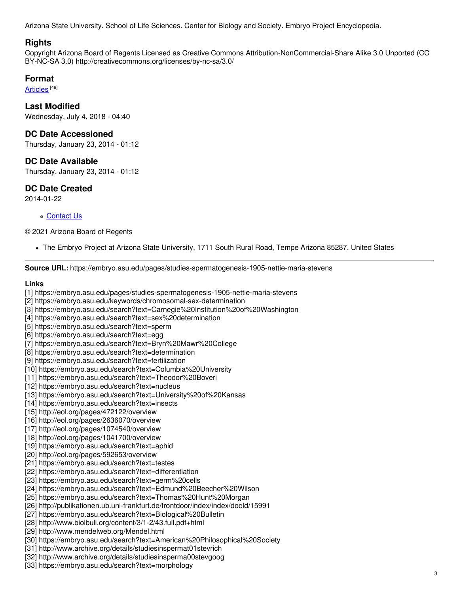Arizona State University. School of Life Sciences. Center for Biology and Society. Embryo Project Encyclopedia.

### **Rights**

Copyright Arizona Board of Regents Licensed as Creative Commons Attribution-NonCommercial-Share Alike 3.0 Unported (CC BY-NC-SA 3.0) http://creativecommons.org/licenses/by-nc-sa/3.0/

#### **Format**

<u>[Articles](https://embryo.asu.edu/formats/articles)</u> [<sup>49]</sup>

**Last Modified** Wednesday, July 4, 2018 - 04:40

#### **DC Date Accessioned**

Thursday, January 23, 2014 - 01:12

#### **DC Date Available**

Thursday, January 23, 2014 - 01:12

## **DC Date Created**

2014-01-22

#### [Contact](https://embryo.asu.edu/contact) Us

#### © 2021 Arizona Board of Regents

The Embryo Project at Arizona State University, 1711 South Rural Road, Tempe Arizona 85287, United States

**Source URL:** https://embryo.asu.edu/pages/studies-spermatogenesis-1905-nettie-maria-stevens

#### **Links**

- [1] https://embryo.asu.edu/pages/studies-spermatogenesis-1905-nettie-maria-stevens
- [2] https://embryo.asu.edu/keywords/chromosomal-sex-determination
- [3] https://embryo.asu.edu/search?text=Carnegie%20Institution%20of%20Washington
- [4] https://embryo.asu.edu/search?text=sex%20determination
- [5] https://embryo.asu.edu/search?text=sperm
- [6] https://embryo.asu.edu/search?text=egg
- [7] https://embryo.asu.edu/search?text=Bryn%20Mawr%20College
- [8] https://embryo.asu.edu/search?text=determination
- [9] https://embryo.asu.edu/search?text=fertilization
- [10] https://embryo.asu.edu/search?text=Columbia%20University
- [11] https://embryo.asu.edu/search?text=Theodor%20Boveri
- [12] https://embryo.asu.edu/search?text=nucleus
- [13] https://embryo.asu.edu/search?text=University%20of%20Kansas
- [14] https://embryo.asu.edu/search?text=insects
- [15] http://eol.org/pages/472122/overview
- [16] http://eol.org/pages/2636070/overview
- [17] http://eol.org/pages/1074540/overview
- [18] http://eol.org/pages/1041700/overview
- [19] https://embryo.asu.edu/search?text=aphid
- [20] http://eol.org/pages/592653/overview
- [21] https://embryo.asu.edu/search?text=testes
- [22] https://embryo.asu.edu/search?text=differentiation
- [23] https://embryo.asu.edu/search?text=germ%20cells
- [24] https://embryo.asu.edu/search?text=Edmund%20Beecher%20Wilson
- [25] https://embryo.asu.edu/search?text=Thomas%20Hunt%20Morgan
- [26] http://publikationen.ub.uni-frankfurt.de/frontdoor/index/index/docId/15991
- [27] https://embryo.asu.edu/search?text=Biological%20Bulletin
- [28] http://www.biolbull.org/content/3/1-2/43.full.pdf+html
- [29] http://www.mendelweb.org/Mendel.html
- [30] https://embryo.asu.edu/search?text=American%20Philosophical%20Society
- [31] http://www.archive.org/details/studiesinspermat01stevrich
- [32] http://www.archive.org/details/studiesinsperma00stevgoog
- [33] https://embryo.asu.edu/search?text=morphology